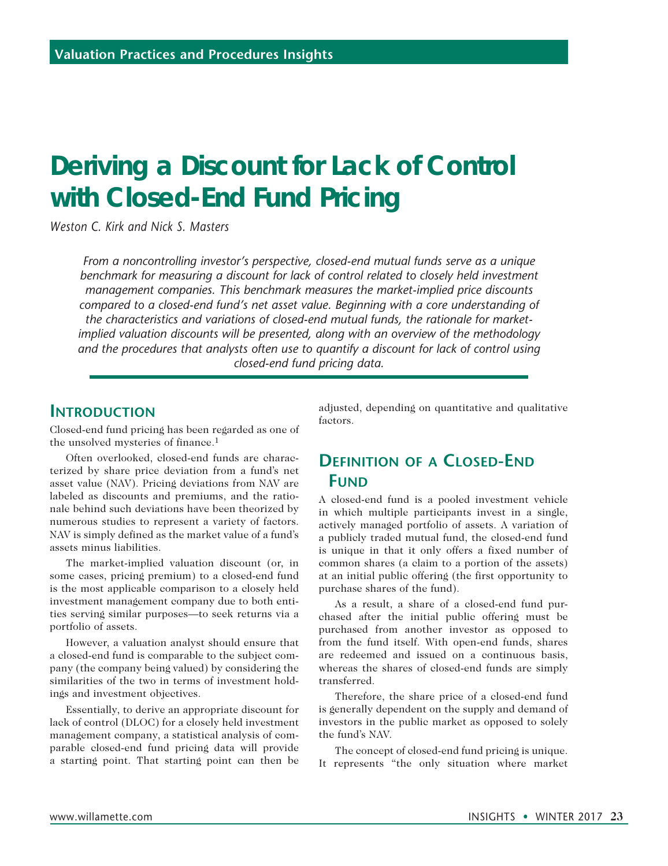# **Deriving a Discount for Lack of Control with Closed-End Fund Pricing**

*Weston C. Kirk and Nick S. Masters*

*From a noncontrolling investor's perspective, closed-end mutual funds serve as a unique*  benchmark for measuring a discount for lack of control related to closely held investment *management companies. This benchmark measures the market-implied price discounts compared to a closed-end fund's net asset value. Beginning with a core understanding of the characteristics and variations of closed-end mutual funds, the rationale for marketimplied valuation discounts will be presented, along with an overview of the methodology and the procedures that analysts often use to quantify a discount for lack of control using closed-end fund pricing data.*

## **INTRODUCTION**

Closed-end fund pricing has been regarded as one of the unsolved mysteries of finance.1

Often overlooked, closed-end funds are characterized by share price deviation from a fund's net asset value (NAV). Pricing deviations from NAV are labeled as discounts and premiums, and the rationale behind such deviations have been theorized by numerous studies to represent a variety of factors. NAV is simply defined as the market value of a fund's assets minus liabilities.

The market-implied valuation discount (or, in some cases, pricing premium) to a closed-end fund is the most applicable comparison to a closely held investment management company due to both entities serving similar purposes—to seek returns via a portfolio of assets.

However, a valuation analyst should ensure that a closed-end fund is comparable to the subject company (the company being valued) by considering the similarities of the two in terms of investment holdings and investment objectives.

Essentially, to derive an appropriate discount for lack of control (DLOC) for a closely held investment management company, a statistical analysis of comparable closed-end fund pricing data will provide a starting point. That starting point can then be adjusted, depending on quantitative and qualitative factors.

## **Definition of a Closed-End FUND**

A closed-end fund is a pooled investment vehicle in which multiple participants invest in a single, actively managed portfolio of assets. A variation of a publicly traded mutual fund, the closed-end fund is unique in that it only offers a fixed number of common shares (a claim to a portion of the assets) at an initial public offering (the first opportunity to purchase shares of the fund).

As a result, a share of a closed-end fund purchased after the initial public offering must be purchased from another investor as opposed to from the fund itself. With open-end funds, shares are redeemed and issued on a continuous basis, whereas the shares of closed-end funds are simply transferred.

Therefore, the share price of a closed-end fund is generally dependent on the supply and demand of investors in the public market as opposed to solely the fund's NAV.

The concept of closed-end fund pricing is unique. It represents "the only situation where market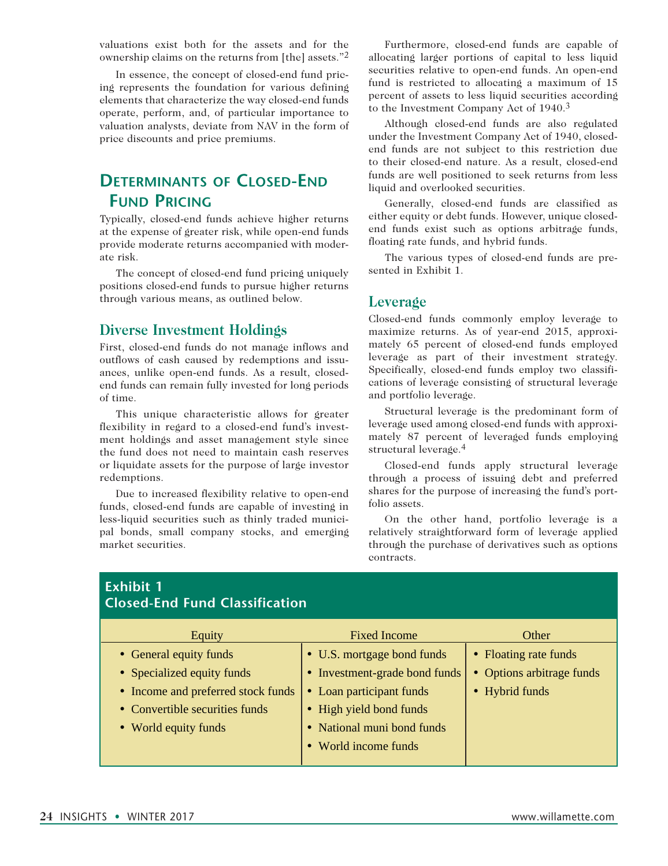valuations exist both for the assets and for the ownership claims on the returns from [the] assets."2

In essence, the concept of closed-end fund pricing represents the foundation for various defining elements that characterize the way closed-end funds operate, perform, and, of particular importance to valuation analysts, deviate from NAV in the form of price discounts and price premiums.

## **Determinants of Closed-End Fund Pricing**

Typically, closed-end funds achieve higher returns at the expense of greater risk, while open-end funds provide moderate returns accompanied with moderate risk.

The concept of closed-end fund pricing uniquely positions closed-end funds to pursue higher returns through various means, as outlined below.

### **Diverse Investment Holdings**

First, closed-end funds do not manage inflows and outflows of cash caused by redemptions and issuances, unlike open-end funds. As a result, closedend funds can remain fully invested for long periods of time.

This unique characteristic allows for greater flexibility in regard to a closed-end fund's investment holdings and asset management style since the fund does not need to maintain cash reserves or liquidate assets for the purpose of large investor redemptions.

Due to increased flexibility relative to open-end funds, closed-end funds are capable of investing in less-liquid securities such as thinly traded municipal bonds, small company stocks, and emerging market securities.

Furthermore, closed-end funds are capable of allocating larger portions of capital to less liquid securities relative to open-end funds. An open-end fund is restricted to allocating a maximum of 15 percent of assets to less liquid securities according to the Investment Company Act of 1940.3

Although closed-end funds are also regulated under the Investment Company Act of 1940, closedend funds are not subject to this restriction due to their closed-end nature. As a result, closed-end funds are well positioned to seek returns from less liquid and overlooked securities.

Generally, closed-end funds are classified as either equity or debt funds. However, unique closedend funds exist such as options arbitrage funds, floating rate funds, and hybrid funds.

The various types of closed-end funds are presented in Exhibit 1.

#### **Leverage**

Closed-end funds commonly employ leverage to maximize returns. As of year-end 2015, approximately 65 percent of closed-end funds employed leverage as part of their investment strategy. Specifically, closed-end funds employ two classifications of leverage consisting of structural leverage and portfolio leverage.

Structural leverage is the predominant form of leverage used among closed-end funds with approximately 87 percent of leveraged funds employing structural leverage.4

Closed-end funds apply structural leverage through a process of issuing debt and preferred shares for the purpose of increasing the fund's portfolio assets.

On the other hand, portfolio leverage is a relatively straightforward form of leverage applied through the purchase of derivatives such as options contracts.

| EXNIDIT I<br><b>Closed-End Fund Classification</b> |                                    |                             |                           |
|----------------------------------------------------|------------------------------------|-----------------------------|---------------------------|
|                                                    | Equity                             | <b>Fixed Income</b>         | Other                     |
|                                                    | • General equity funds             | • U.S. mortgage bond funds  | • Floating rate funds     |
|                                                    | • Specialized equity funds         | Investment-grade bond funds | • Options arbitrage funds |
|                                                    | • Income and preferred stock funds | • Loan participant funds    | • Hybrid funds            |
|                                                    | • Convertible securities funds     | • High yield bond funds     |                           |
|                                                    | • World equity funds               | • National muni bond funds  |                           |
|                                                    |                                    | World income funds          |                           |
|                                                    |                                    |                             |                           |

# **Exhibit 1**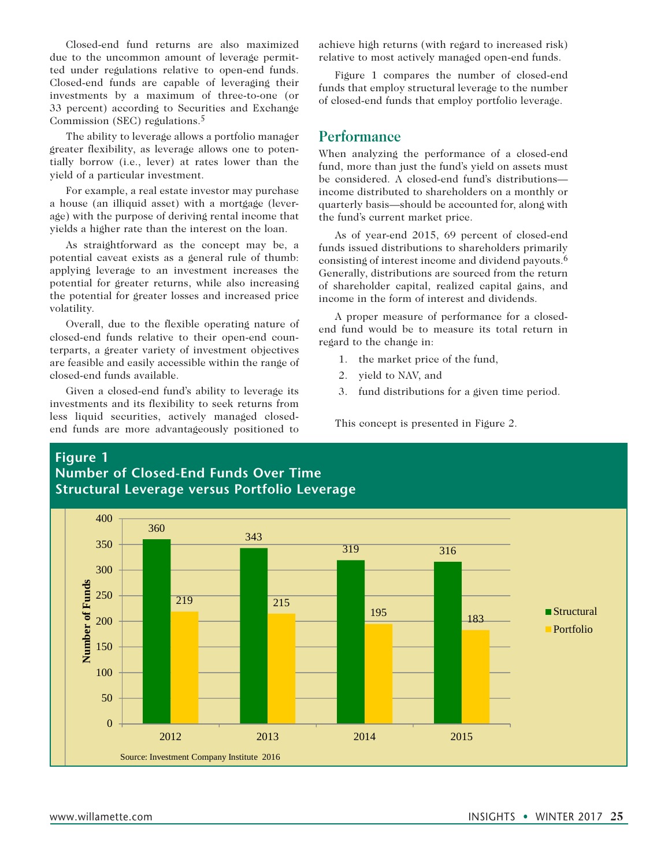Closed-end fund returns are also maximized due to the uncommon amount of leverage permitted under regulations relative to open-end funds. Closed-end funds are capable of leveraging their investments by a maximum of three-to-one (or 33 percent) according to Securities and Exchange Commission (SEC) regulations.5

The ability to leverage allows a portfolio manager greater flexibility, as leverage allows one to potentially borrow (i.e., lever) at rates lower than the yield of a particular investment.

For example, a real estate investor may purchase a house (an illiquid asset) with a mortgage (leverage) with the purpose of deriving rental income that yields a higher rate than the interest on the loan.

As straightforward as the concept may be, a potential caveat exists as a general rule of thumb: applying leverage to an investment increases the potential for greater returns, while also increasing the potential for greater losses and increased price volatility.

Overall, due to the flexible operating nature of closed-end funds relative to their open-end counterparts, a greater variety of investment objectives are feasible and easily accessible within the range of closed-end funds available.

Given a closed-end fund's ability to leverage its investments and its flexibility to seek returns from less liquid securities, actively managed closedend funds are more advantageously positioned to achieve high returns (with regard to increased risk) relative to most actively managed open-end funds.

Figure 1 compares the number of closed-end funds that employ structural leverage to the number of closed-end funds that employ portfolio leverage.

### **Performance**

When analyzing the performance of a closed-end fund, more than just the fund's yield on assets must be considered. A closed-end fund's distributions income distributed to shareholders on a monthly or quarterly basis—should be accounted for, along with the fund's current market price.

As of year-end 2015, 69 percent of closed-end funds issued distributions to shareholders primarily consisting of interest income and dividend payouts.6 Generally, distributions are sourced from the return of shareholder capital, realized capital gains, and income in the form of interest and dividends.

A proper measure of performance for a closedend fund would be to measure its total return in regard to the change in:

- 1. the market price of the fund,
- 2. yield to NAV, and
- 3. fund distributions for a given time period.

This concept is presented in Figure 2.

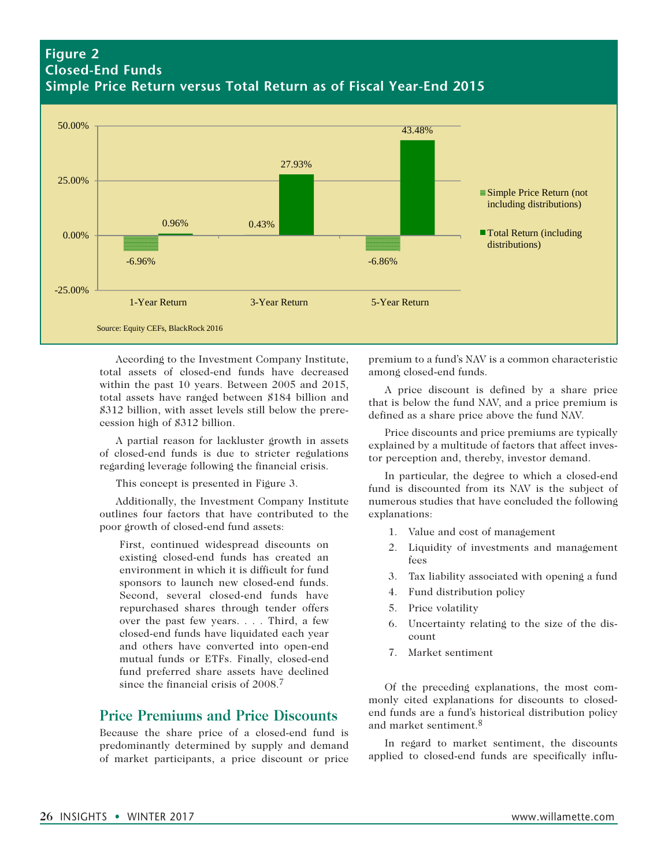## **Figure 2 Closed-End Funds Simple Price Return versus Total Return as of Fiscal Year-End 2015**



According to the Investment Company Institute, total assets of closed-end funds have decreased within the past 10 years. Between 2005 and 2015, total assets have ranged between \$184 billion and \$312 billion, with asset levels still below the prerecession high of \$312 billion.

A partial reason for lackluster growth in assets of closed-end funds is due to stricter regulations regarding leverage following the financial crisis.

This concept is presented in Figure 3.

Additionally, the Investment Company Institute outlines four factors that have contributed to the poor growth of closed-end fund assets:

First, continued widespread discounts on existing closed-end funds has created an environment in which it is difficult for fund sponsors to launch new closed-end funds. Second, several closed-end funds have repurchased shares through tender offers over the past few years. . . . Third, a few closed-end funds have liquidated each year and others have converted into open-end mutual funds or ETFs. Finally, closed-end fund preferred share assets have declined since the financial crisis of 2008.<sup>7</sup>

## **Price Premiums and Price Discounts**

Because the share price of a closed-end fund is predominantly determined by supply and demand of market participants, a price discount or price

premium to a fund's NAV is a common characteristic among closed-end funds.

A price discount is defined by a share price that is below the fund NAV, and a price premium is defined as a share price above the fund NAV.

Price discounts and price premiums are typically explained by a multitude of factors that affect investor perception and, thereby, investor demand.

In particular, the degree to which a closed-end fund is discounted from its NAV is the subject of numerous studies that have concluded the following explanations:

- 1. Value and cost of management
- 2. Liquidity of investments and management fees
- 3. Tax liability associated with opening a fund
- 4. Fund distribution policy
- 5. Price volatility
- 6. Uncertainty relating to the size of the discount
- 7. Market sentiment

Of the preceding explanations, the most commonly cited explanations for discounts to closedend funds are a fund's historical distribution policy and market sentiment.8

In regard to market sentiment, the discounts applied to closed-end funds are specifically influ-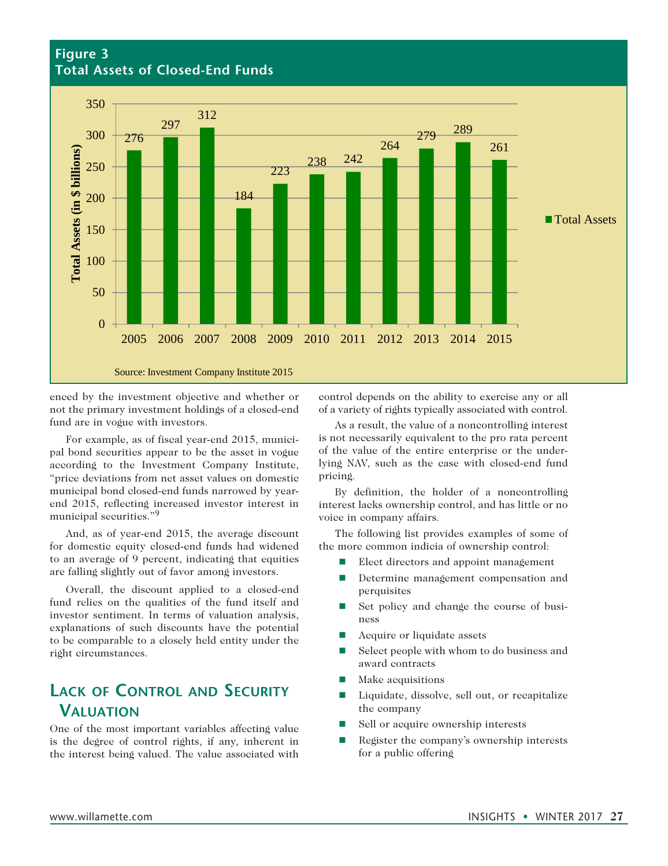### **Figure 3 Total Assets of Closed-End Funds**



enced by the investment objective and whether or not the primary investment holdings of a closed-end fund are in vogue with investors.

For example, as of fiscal year-end 2015, municipal bond securities appear to be the asset in vogue according to the Investment Company Institute, "price deviations from net asset values on domestic municipal bond closed-end funds narrowed by yearend 2015, reflecting increased investor interest in municipal securities."9

And, as of year-end 2015, the average discount for domestic equity closed-end funds had widened to an average of 9 percent, indicating that equities are falling slightly out of favor among investors.

Overall, the discount applied to a closed-end fund relies on the qualities of the fund itself and investor sentiment. In terms of valuation analysis, explanations of such discounts have the potential to be comparable to a closely held entity under the right circumstances.

# **Lack of Control and Security Valuation**

One of the most important variables affecting value is the degree of control rights, if any, inherent in the interest being valued. The value associated with

control depends on the ability to exercise any or all of a variety of rights typically associated with control.

As a result, the value of a noncontrolling interest is not necessarily equivalent to the pro rata percent of the value of the entire enterprise or the underlying NAV, such as the case with closed-end fund pricing.

By definition, the holder of a noncontrolling interest lacks ownership control, and has little or no voice in company affairs.

The following list provides examples of some of the more common indicia of ownership control:

- Elect directors and appoint management
- Determine management compensation and perquisites
- $\blacksquare$  Set policy and change the course of business
- $\blacksquare$  Acquire or liquidate assets
- $\blacksquare$  Select people with whom to do business and award contracts
- $\blacksquare$  Make acquisitions
- Liquidate, dissolve, sell out, or recapitalize the company
- Sell or acquire ownership interests
- $\blacksquare$  Register the company's ownership interests for a public offering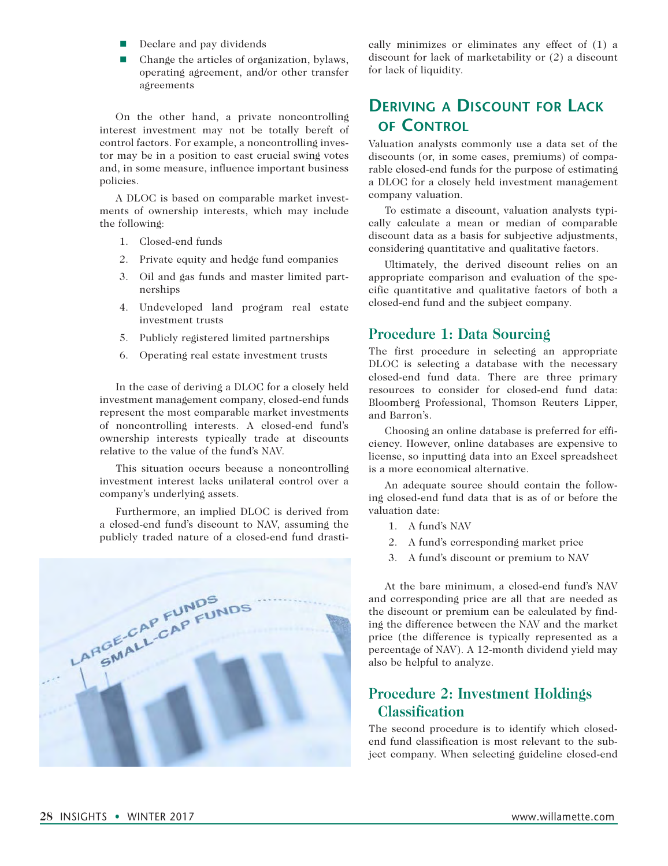- $\blacksquare$  Declare and pay dividends
- $\blacksquare$  Change the articles of organization, bylaws, operating agreement, and/or other transfer agreements

On the other hand, a private noncontrolling interest investment may not be totally bereft of control factors. For example, a noncontrolling investor may be in a position to cast crucial swing votes and, in some measure, influence important business policies.

A DLOC is based on comparable market investments of ownership interests, which may include the following:

- 1. Closed-end funds
- 2. Private equity and hedge fund companies
- 3. Oil and gas funds and master limited partnerships
- 4. Undeveloped land program real estate investment trusts
- 5. Publicly registered limited partnerships
- 6. Operating real estate investment trusts

In the case of deriving a DLOC for a closely held investment management company, closed-end funds represent the most comparable market investments of noncontrolling interests. A closed-end fund's ownership interests typically trade at discounts relative to the value of the fund's NAV.

This situation occurs because a noncontrolling investment interest lacks unilateral control over a company's underlying assets.

Furthermore, an implied DLOC is derived from a closed-end fund's discount to NAV, assuming the publicly traded nature of a closed-end fund drasti-



cally minimizes or eliminates any effect of (1) a discount for lack of marketability or (2) a discount for lack of liquidity.

## **Deriving a Discount for Lack of Control**

Valuation analysts commonly use a data set of the discounts (or, in some cases, premiums) of comparable closed-end funds for the purpose of estimating a DLOC for a closely held investment management company valuation.

To estimate a discount, valuation analysts typically calculate a mean or median of comparable discount data as a basis for subjective adjustments, considering quantitative and qualitative factors.

Ultimately, the derived discount relies on an appropriate comparison and evaluation of the specific quantitative and qualitative factors of both a closed-end fund and the subject company.

#### **Procedure 1: Data Sourcing**

The first procedure in selecting an appropriate DLOC is selecting a database with the necessary closed-end fund data. There are three primary resources to consider for closed-end fund data: Bloomberg Professional, Thomson Reuters Lipper, and Barron's.

Choosing an online database is preferred for efficiency. However, online databases are expensive to license, so inputting data into an Excel spreadsheet is a more economical alternative.

An adequate source should contain the following closed-end fund data that is as of or before the valuation date:

- 1. A fund's NAV
- 2. A fund's corresponding market price
- 3. A fund's discount or premium to NAV

At the bare minimum, a closed-end fund's NAV and corresponding price are all that are needed as the discount or premium can be calculated by finding the difference between the NAV and the market price (the difference is typically represented as a percentage of NAV). A 12-month dividend yield may also be helpful to analyze.

## **Procedure 2: Investment Holdings Classification**

The second procedure is to identify which closedend fund classification is most relevant to the subject company. When selecting guideline closed-end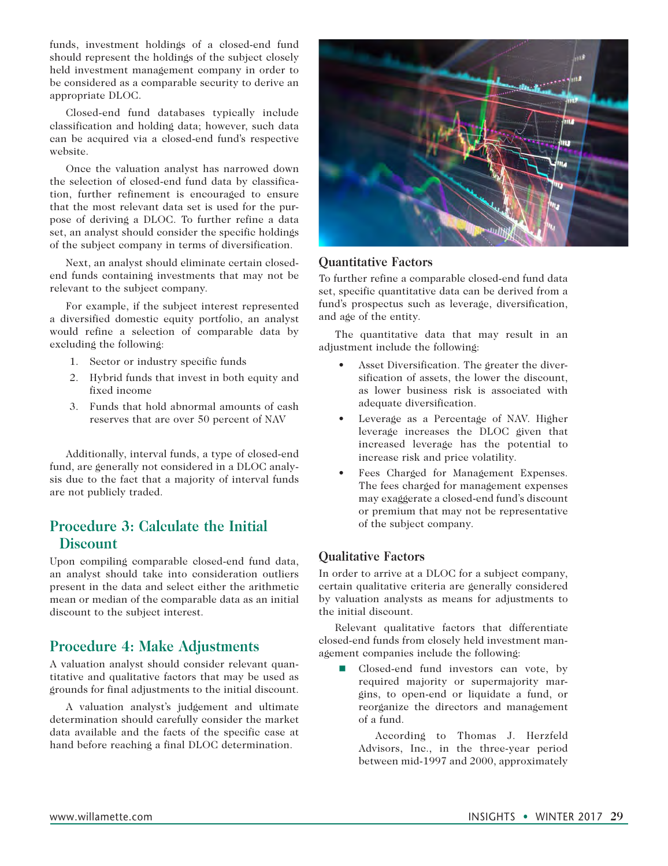funds, investment holdings of a closed-end fund should represent the holdings of the subject closely held investment management company in order to be considered as a comparable security to derive an appropriate DLOC.

Closed-end fund databases typically include classification and holding data; however, such data can be acquired via a closed-end fund's respective website.

Once the valuation analyst has narrowed down the selection of closed-end fund data by classification, further refinement is encouraged to ensure that the most relevant data set is used for the purpose of deriving a DLOC. To further refine a data set, an analyst should consider the specific holdings of the subject company in terms of diversification.

Next, an analyst should eliminate certain closedend funds containing investments that may not be relevant to the subject company.

For example, if the subject interest represented a diversified domestic equity portfolio, an analyst would refine a selection of comparable data by excluding the following:

- 1. Sector or industry specific funds
- 2. Hybrid funds that invest in both equity and fixed income
- 3. Funds that hold abnormal amounts of cash reserves that are over 50 percent of NAV

Additionally, interval funds, a type of closed-end fund, are generally not considered in a DLOC analysis due to the fact that a majority of interval funds are not publicly traded.

## **Procedure 3: Calculate the Initial Discount**

Upon compiling comparable closed-end fund data, an analyst should take into consideration outliers present in the data and select either the arithmetic mean or median of the comparable data as an initial discount to the subject interest.

## **Procedure 4: Make Adjustments**

A valuation analyst should consider relevant quantitative and qualitative factors that may be used as grounds for final adjustments to the initial discount.

A valuation analyst's judgement and ultimate determination should carefully consider the market data available and the facts of the specific case at hand before reaching a final DLOC determination.



#### **Quantitative Factors**

To further refine a comparable closed-end fund data set, specific quantitative data can be derived from a fund's prospectus such as leverage, diversification, and age of the entity.

The quantitative data that may result in an adjustment include the following:

- Asset Diversification. The greater the diversification of assets, the lower the discount, as lower business risk is associated with adequate diversification.
- Leverage as a Percentage of NAV. Higher leverage increases the DLOC given that increased leverage has the potential to increase risk and price volatility.
- Fees Charged for Management Expenses. The fees charged for management expenses may exaggerate a closed-end fund's discount or premium that may not be representative of the subject company.

#### **Qualitative Factors**

In order to arrive at a DLOC for a subject company, certain qualitative criteria are generally considered by valuation analysts as means for adjustments to the initial discount.

Relevant qualitative factors that differentiate closed-end funds from closely held investment management companies include the following:

Closed-end fund investors can vote, by required majority or supermajority margins, to open-end or liquidate a fund, or reorganize the directors and management of a fund.

 According to Thomas J. Herzfeld Advisors, Inc., in the three-year period between mid-1997 and 2000, approximately